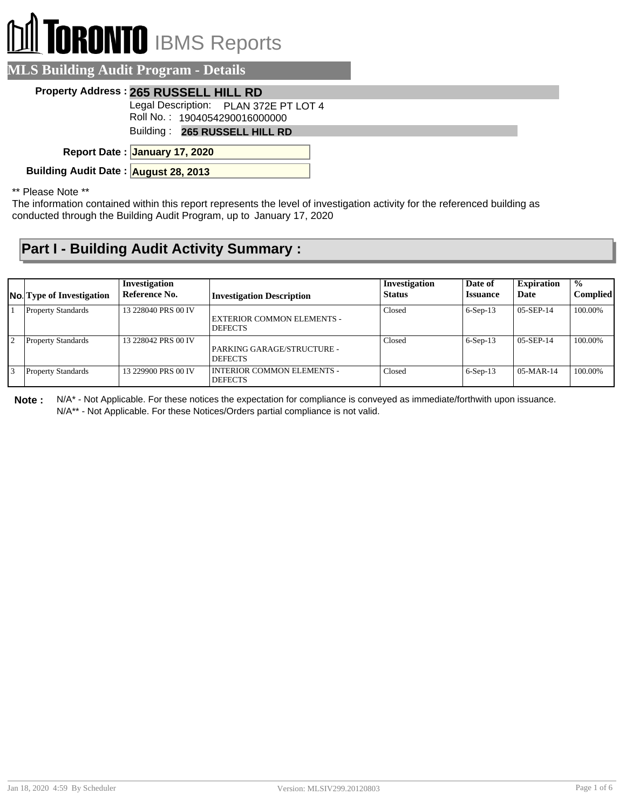## **TORONTO** IBMS Reports

| <b>MLS Building Audit Program - Details</b> |  |
|---------------------------------------------|--|
| Property Address: 265 RUSSELL HILL RD       |  |
| Legal Description: PLAN 372E PT LOT 4       |  |
| Roll No.: 1904054290016000000               |  |
| Building: 265 RUSSELL HILL RD               |  |
| Report Date: January 17, 2020               |  |
| Building Audit Date: August 28, 2013        |  |

\*\* Please Note \*\*

The information contained within this report represents the level of investigation activity for the referenced building as conducted through the Building Audit Program, up to January 17, 2020

## **Part I - Building Audit Activity Summary :**

|                | <b>No.</b> Type of Investigation | Investigation<br>Reference No. | <b>Investigation Description</b>                    | Investigation<br><b>Status</b> | Date of<br><b>Issuance</b> | <b>Expiration</b><br>Date | $\frac{6}{6}$<br><b>Complied</b> |
|----------------|----------------------------------|--------------------------------|-----------------------------------------------------|--------------------------------|----------------------------|---------------------------|----------------------------------|
|                | <b>Property Standards</b>        | 13 228040 PRS 00 IV            | <b>EXTERIOR COMMON ELEMENTS -</b><br><b>DEFECTS</b> | Closed                         | $6-Sep-13$                 | $05-SEP-14$               | 100.00%                          |
| 12             | <b>Property Standards</b>        | 13 228042 PRS 00 IV            | PARKING GARAGE/STRUCTURE -<br><b>DEFECTS</b>        | Closed                         | $6-Sep-13$                 | $05-SEP-14$               | 100.00%                          |
| $\overline{3}$ | <b>Property Standards</b>        | 13 229900 PRS 00 IV            | <b>INTERIOR COMMON ELEMENTS -</b><br><b>DEFECTS</b> | Closed                         | $6-Sep-13$                 | $\mid$ 05-MAR-14          | 100.00%                          |

**Note :** N/A\* - Not Applicable. For these notices the expectation for compliance is conveyed as immediate/forthwith upon issuance. N/A\*\* - Not Applicable. For these Notices/Orders partial compliance is not valid.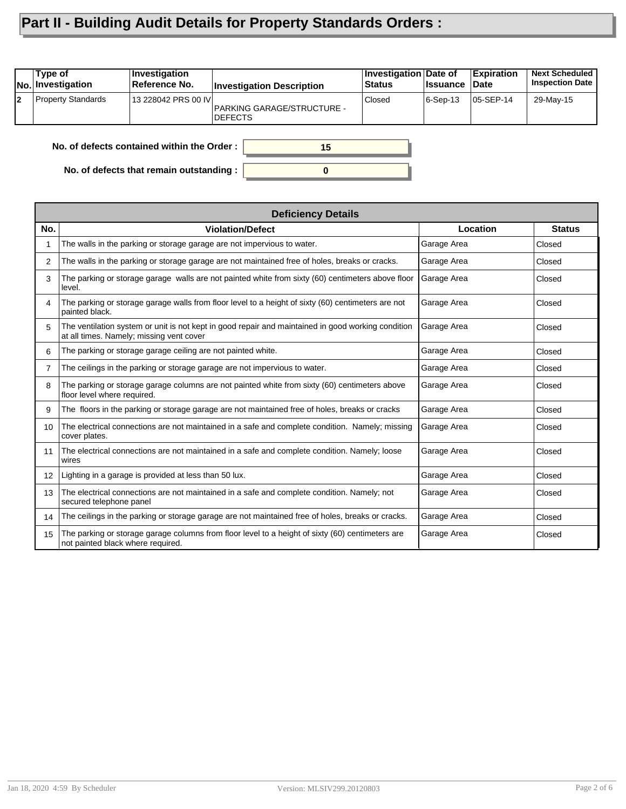## **Part II - Building Audit Details for Property Standards Orders :**

|    | Type of<br>No. Investigation | <b>Investigation</b><br>Reference No.      | <b>Investigation Description</b>             | Investigation Date of<br><b>Status</b> | <b>∣Issuance</b> | <b>Expiration</b><br><b>Date</b> | <b>Next Scheduled</b><br><b>Inspection Date</b> |
|----|------------------------------|--------------------------------------------|----------------------------------------------|----------------------------------------|------------------|----------------------------------|-------------------------------------------------|
| l2 | <b>Property Standards</b>    | 13 228042 PRS 00 IVI                       | PARKING GARAGE/STRUCTURE -<br><b>DEFECTS</b> | Closed                                 | 6-Sep-13         | 05-SEP-14                        | 29-May-15                                       |
|    |                              | No. of defects contained within the Order: | 15                                           |                                        |                  |                                  |                                                 |

**0**

**No. of defects contained within the Order :**

**No. of defects that remain outstanding :**

|                 | <b>Deficiency Details</b>                                                                                                                      |             |               |
|-----------------|------------------------------------------------------------------------------------------------------------------------------------------------|-------------|---------------|
| No.             | <b>Violation/Defect</b>                                                                                                                        | Location    | <b>Status</b> |
|                 | The walls in the parking or storage garage are not impervious to water.                                                                        | Garage Area | Closed        |
| 2               | The walls in the parking or storage garage are not maintained free of holes, breaks or cracks.                                                 | Garage Area | Closed        |
| 3               | The parking or storage garage walls are not painted white from sixty (60) centimeters above floor<br>level.                                    | Garage Area | Closed        |
| 4               | The parking or storage garage walls from floor level to a height of sixty (60) centimeters are not<br>painted black.                           | Garage Area | Closed        |
| 5               | The ventilation system or unit is not kept in good repair and maintained in good working condition<br>at all times. Namely; missing vent cover | Garage Area | Closed        |
| 6               | The parking or storage garage ceiling are not painted white.                                                                                   | Garage Area | Closed        |
| 7               | The ceilings in the parking or storage garage are not impervious to water.                                                                     | Garage Area | Closed        |
| 8               | The parking or storage garage columns are not painted white from sixty (60) centimeters above<br>floor level where required.                   | Garage Area | Closed        |
| 9               | The floors in the parking or storage garage are not maintained free of holes, breaks or cracks                                                 | Garage Area | Closed        |
| 10              | The electrical connections are not maintained in a safe and complete condition. Namely; missing<br>cover plates.                               | Garage Area | Closed        |
| 11              | The electrical connections are not maintained in a safe and complete condition. Namely; loose<br>wires                                         | Garage Area | Closed        |
| 12 <sup>2</sup> | Lighting in a garage is provided at less than 50 lux.                                                                                          | Garage Area | Closed        |
| 13              | The electrical connections are not maintained in a safe and complete condition. Namely; not<br>secured telephone panel                         | Garage Area | Closed        |
| 14              | The ceilings in the parking or storage garage are not maintained free of holes, breaks or cracks.                                              | Garage Area | Closed        |
| 15              | The parking or storage garage columns from floor level to a height of sixty (60) centimeters are<br>not painted black where required.          | Garage Area | Closed        |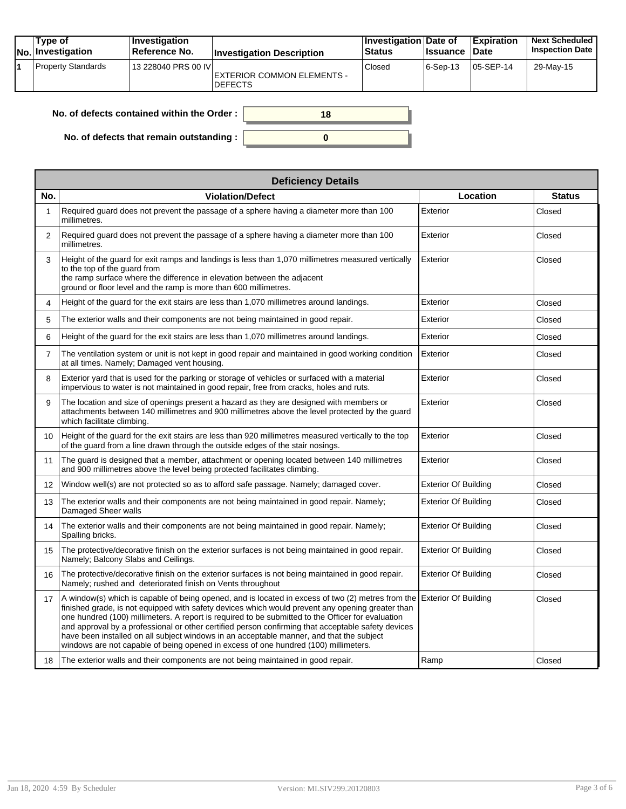| Type of<br> No. Investigation | <b>Investigation</b><br>Reference No. | <b>Investigation Description</b>              | Investigation Date of<br><b>Status</b> | <b>Issuance</b> | <b>Expiration</b><br><b>Date</b> | <b>Next Scheduled</b><br><b>Inspection Date</b> |
|-------------------------------|---------------------------------------|-----------------------------------------------|----------------------------------------|-----------------|----------------------------------|-------------------------------------------------|
| <b>Property Standards</b>     | 13 228040 PRS 00 IVI                  | EXTERIOR COMMON ELEMENTS -<br><b>IDEFECTS</b> | Closed                                 | $ 6-Sep-13 $    | 05-SEP-14                        | 29-May-15                                       |

| No. of defects contained within the Order :      |  |
|--------------------------------------------------|--|
| No. of defects that remain outstanding : $\vert$ |  |

|                | <b>Deficiency Details</b>                                                                                                                                                                                                                                                                                                                                                                                                                                                                                                                                                                                                |                             |               |  |  |  |  |  |
|----------------|--------------------------------------------------------------------------------------------------------------------------------------------------------------------------------------------------------------------------------------------------------------------------------------------------------------------------------------------------------------------------------------------------------------------------------------------------------------------------------------------------------------------------------------------------------------------------------------------------------------------------|-----------------------------|---------------|--|--|--|--|--|
| No.            | <b>Violation/Defect</b>                                                                                                                                                                                                                                                                                                                                                                                                                                                                                                                                                                                                  | Location                    | <b>Status</b> |  |  |  |  |  |
| 1              | Required guard does not prevent the passage of a sphere having a diameter more than 100<br>millimetres.                                                                                                                                                                                                                                                                                                                                                                                                                                                                                                                  | Exterior                    | Closed        |  |  |  |  |  |
| 2              | Required guard does not prevent the passage of a sphere having a diameter more than 100<br>millimetres.                                                                                                                                                                                                                                                                                                                                                                                                                                                                                                                  | Exterior                    | Closed        |  |  |  |  |  |
| 3              | Height of the guard for exit ramps and landings is less than 1,070 millimetres measured vertically<br>to the top of the guard from<br>the ramp surface where the difference in elevation between the adjacent<br>ground or floor level and the ramp is more than 600 millimetres.                                                                                                                                                                                                                                                                                                                                        | Exterior                    | Closed        |  |  |  |  |  |
| 4              | Height of the quard for the exit stairs are less than 1,070 millimetres around landings.                                                                                                                                                                                                                                                                                                                                                                                                                                                                                                                                 | Exterior                    | Closed        |  |  |  |  |  |
| 5              | The exterior walls and their components are not being maintained in good repair.                                                                                                                                                                                                                                                                                                                                                                                                                                                                                                                                         | Exterior                    | Closed        |  |  |  |  |  |
| 6              | Height of the guard for the exit stairs are less than 1,070 millimetres around landings.                                                                                                                                                                                                                                                                                                                                                                                                                                                                                                                                 | Exterior                    | Closed        |  |  |  |  |  |
| $\overline{7}$ | The ventilation system or unit is not kept in good repair and maintained in good working condition<br>at all times. Namely; Damaged vent housing.                                                                                                                                                                                                                                                                                                                                                                                                                                                                        | Exterior                    | Closed        |  |  |  |  |  |
| 8              | Exterior yard that is used for the parking or storage of vehicles or surfaced with a material<br>impervious to water is not maintained in good repair, free from cracks, holes and ruts.                                                                                                                                                                                                                                                                                                                                                                                                                                 | Exterior                    | Closed        |  |  |  |  |  |
| 9              | The location and size of openings present a hazard as they are designed with members or<br>attachments between 140 millimetres and 900 millimetres above the level protected by the quard<br>which facilitate climbing.                                                                                                                                                                                                                                                                                                                                                                                                  | Exterior                    | Closed        |  |  |  |  |  |
| 10             | Height of the guard for the exit stairs are less than 920 millimetres measured vertically to the top<br>of the guard from a line drawn through the outside edges of the stair nosings.                                                                                                                                                                                                                                                                                                                                                                                                                                   | Exterior                    | Closed        |  |  |  |  |  |
| 11             | The guard is designed that a member, attachment or opening located between 140 millimetres<br>and 900 millimetres above the level being protected facilitates climbing.                                                                                                                                                                                                                                                                                                                                                                                                                                                  | Exterior                    | Closed        |  |  |  |  |  |
| 12             | Window well(s) are not protected so as to afford safe passage. Namely: damaged cover.                                                                                                                                                                                                                                                                                                                                                                                                                                                                                                                                    | <b>Exterior Of Building</b> | Closed        |  |  |  |  |  |
| 13             | The exterior walls and their components are not being maintained in good repair. Namely;<br>Damaged Sheer walls                                                                                                                                                                                                                                                                                                                                                                                                                                                                                                          | <b>Exterior Of Building</b> | Closed        |  |  |  |  |  |
| 14             | The exterior walls and their components are not being maintained in good repair. Namely;<br>Spalling bricks.                                                                                                                                                                                                                                                                                                                                                                                                                                                                                                             | <b>Exterior Of Building</b> | Closed        |  |  |  |  |  |
| 15             | The protective/decorative finish on the exterior surfaces is not being maintained in good repair.<br>Namely; Balcony Slabs and Ceilings.                                                                                                                                                                                                                                                                                                                                                                                                                                                                                 | <b>Exterior Of Building</b> | Closed        |  |  |  |  |  |
| 16             | The protective/decorative finish on the exterior surfaces is not being maintained in good repair.<br>Namely; rushed and deteriorated finish on Vents throughout                                                                                                                                                                                                                                                                                                                                                                                                                                                          | <b>Exterior Of Building</b> | Closed        |  |  |  |  |  |
| 17             | A window(s) which is capable of being opened, and is located in excess of two (2) metres from the Exterior Of Building<br>finished grade, is not equipped with safety devices which would prevent any opening greater than<br>one hundred (100) millimeters. A report is required to be submitted to the Officer for evaluation<br>and approval by a professional or other certified person confirming that acceptable safety devices<br>have been installed on all subject windows in an acceptable manner, and that the subject<br>windows are not capable of being opened in excess of one hundred (100) millimeters. |                             | Closed        |  |  |  |  |  |
| 18             | The exterior walls and their components are not being maintained in good repair.                                                                                                                                                                                                                                                                                                                                                                                                                                                                                                                                         | Ramp                        | Closed        |  |  |  |  |  |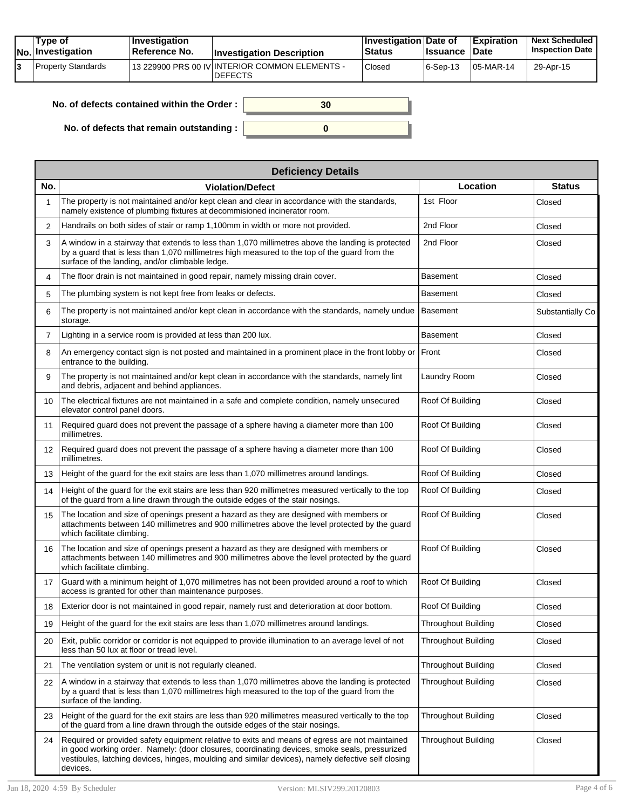| Tvpe of<br>No. Investigation | <b>Investigation</b><br>⊺Reference No. | <b>Investigation Description</b>                                  | <b>∣Investigation Date of</b><br>Status | <b>Issuance Date</b> | <b>Expiration</b> | <b>Next Scheduled</b><br><b>Inspection Date</b> |
|------------------------------|----------------------------------------|-------------------------------------------------------------------|-----------------------------------------|----------------------|-------------------|-------------------------------------------------|
| Property Standards           |                                        | 113 229900 PRS 00 IV INTERIOR COMMON ELEMENTS -<br><b>DEFECTS</b> | Closed                                  | $ 6-Sep-13$          | $105$ -MAR-14     | 29-Apr-15                                       |

| No. of defects contained within the Order: | 30 |
|--------------------------------------------|----|
| No. of defects that remain outstanding :   |    |

|                   | <b>Deficiency Details</b>                                                                                                                                                                                                                                                                                         |                            |                  |  |  |  |  |  |
|-------------------|-------------------------------------------------------------------------------------------------------------------------------------------------------------------------------------------------------------------------------------------------------------------------------------------------------------------|----------------------------|------------------|--|--|--|--|--|
| No.               | <b>Violation/Defect</b>                                                                                                                                                                                                                                                                                           | Location                   | <b>Status</b>    |  |  |  |  |  |
| 1                 | The property is not maintained and/or kept clean and clear in accordance with the standards,<br>namely existence of plumbing fixtures at decommisioned incinerator room.                                                                                                                                          | 1st Floor                  | Closed           |  |  |  |  |  |
| 2                 | Handrails on both sides of stair or ramp 1,100mm in width or more not provided.                                                                                                                                                                                                                                   | 2nd Floor                  | Closed           |  |  |  |  |  |
| 3                 | A window in a stairway that extends to less than 1,070 millimetres above the landing is protected<br>by a guard that is less than 1,070 millimetres high measured to the top of the guard from the<br>surface of the landing, and/or climbable ledge.                                                             | 2nd Floor                  | Closed           |  |  |  |  |  |
| 4                 | The floor drain is not maintained in good repair, namely missing drain cover.                                                                                                                                                                                                                                     | Basement                   | Closed           |  |  |  |  |  |
| 5                 | The plumbing system is not kept free from leaks or defects.                                                                                                                                                                                                                                                       | <b>Basement</b>            | Closed           |  |  |  |  |  |
| 6                 | The property is not maintained and/or kept clean in accordance with the standards, namely undue<br>storage.                                                                                                                                                                                                       | Basement                   | Substantially Co |  |  |  |  |  |
| $\overline{7}$    | Lighting in a service room is provided at less than 200 lux.                                                                                                                                                                                                                                                      | <b>Basement</b>            | Closed           |  |  |  |  |  |
| 8                 | An emergency contact sign is not posted and maintained in a prominent place in the front lobby or<br>entrance to the building.                                                                                                                                                                                    | Front                      | Closed           |  |  |  |  |  |
| 9                 | The property is not maintained and/or kept clean in accordance with the standards, namely lint<br>and debris, adjacent and behind appliances.                                                                                                                                                                     | Laundry Room               | Closed           |  |  |  |  |  |
| 10                | The electrical fixtures are not maintained in a safe and complete condition, namely unsecured<br>elevator control panel doors.                                                                                                                                                                                    | Roof Of Building           | Closed           |  |  |  |  |  |
| 11                | Required guard does not prevent the passage of a sphere having a diameter more than 100<br>millimetres.                                                                                                                                                                                                           | Roof Of Building           | Closed           |  |  |  |  |  |
| $12 \overline{ }$ | Required quard does not prevent the passage of a sphere having a diameter more than 100<br>millimetres.                                                                                                                                                                                                           | Roof Of Building           | Closed           |  |  |  |  |  |
| 13                | Height of the guard for the exit stairs are less than 1,070 millimetres around landings.                                                                                                                                                                                                                          | Roof Of Building           | Closed           |  |  |  |  |  |
| 14                | Height of the guard for the exit stairs are less than 920 millimetres measured vertically to the top<br>of the guard from a line drawn through the outside edges of the stair nosings.                                                                                                                            | Roof Of Building           | Closed           |  |  |  |  |  |
| 15                | The location and size of openings present a hazard as they are designed with members or<br>attachments between 140 millimetres and 900 millimetres above the level protected by the guard<br>which facilitate climbing.                                                                                           | Roof Of Building           | Closed           |  |  |  |  |  |
| 16                | The location and size of openings present a hazard as they are designed with members or<br>attachments between 140 millimetres and 900 millimetres above the level protected by the guard<br>which facilitate climbing.                                                                                           | Roof Of Building           | Closed           |  |  |  |  |  |
| 17                | Guard with a minimum height of 1,070 millimetres has not been provided around a roof to which<br>access is granted for other than maintenance purposes.                                                                                                                                                           | Roof Of Building           | Closed           |  |  |  |  |  |
| 18                | Exterior door is not maintained in good repair, namely rust and deterioration at door bottom.                                                                                                                                                                                                                     | Roof Of Building           | Closed           |  |  |  |  |  |
| 19                | Height of the guard for the exit stairs are less than 1,070 millimetres around landings.                                                                                                                                                                                                                          | <b>Throughout Building</b> | Closed           |  |  |  |  |  |
| 20                | Exit, public corridor or corridor is not equipped to provide illumination to an average level of not<br>less than 50 lux at floor or tread level.                                                                                                                                                                 | Throughout Building        | Closed           |  |  |  |  |  |
| 21                | The ventilation system or unit is not regularly cleaned.                                                                                                                                                                                                                                                          | <b>Throughout Building</b> | Closed           |  |  |  |  |  |
| 22                | A window in a stairway that extends to less than 1,070 millimetres above the landing is protected<br>by a guard that is less than 1,070 millimetres high measured to the top of the guard from the<br>surface of the landing.                                                                                     | Throughout Building        | Closed           |  |  |  |  |  |
| 23                | Height of the guard for the exit stairs are less than 920 millimetres measured vertically to the top<br>of the guard from a line drawn through the outside edges of the stair nosings.                                                                                                                            | <b>Throughout Building</b> | Closed           |  |  |  |  |  |
| 24                | Required or provided safety equipment relative to exits and means of egress are not maintained<br>in good working order. Namely: (door closures, coordinating devices, smoke seals, pressurized<br>vestibules, latching devices, hinges, moulding and similar devices), namely defective self closing<br>devices. | <b>Throughout Building</b> | Closed           |  |  |  |  |  |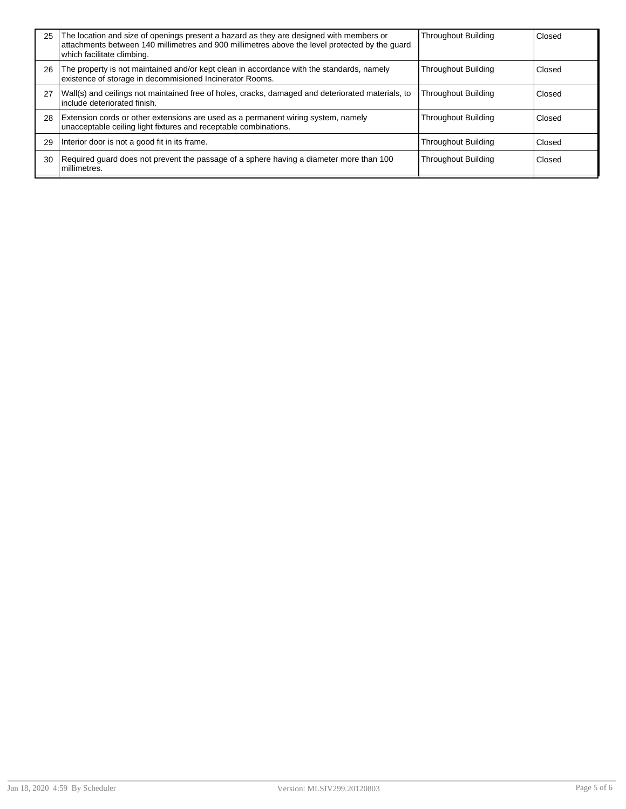| 25 | The location and size of openings present a hazard as they are designed with members or<br>attachments between 140 millimetres and 900 millimetres above the level protected by the quard<br>which facilitate climbing. | <b>Throughout Building</b> | Closed |
|----|-------------------------------------------------------------------------------------------------------------------------------------------------------------------------------------------------------------------------|----------------------------|--------|
| 26 | The property is not maintained and/or kept clean in accordance with the standards, namely<br>existence of storage in decommisioned Incinerator Rooms.                                                                   | <b>Throughout Building</b> | Closed |
| 27 | Wall(s) and ceilings not maintained free of holes, cracks, damaged and deteriorated materials, to<br>include deteriorated finish.                                                                                       | <b>Throughout Building</b> | Closed |
| 28 | Extension cords or other extensions are used as a permanent wiring system, namely<br>unacceptable ceiling light fixtures and receptable combinations.                                                                   | <b>Throughout Building</b> | Closed |
| 29 | Interior door is not a good fit in its frame.                                                                                                                                                                           | <b>Throughout Building</b> | Closed |
| 30 | Required guard does not prevent the passage of a sphere having a diameter more than 100<br>millimetres.                                                                                                                 | <b>Throughout Building</b> | Closed |